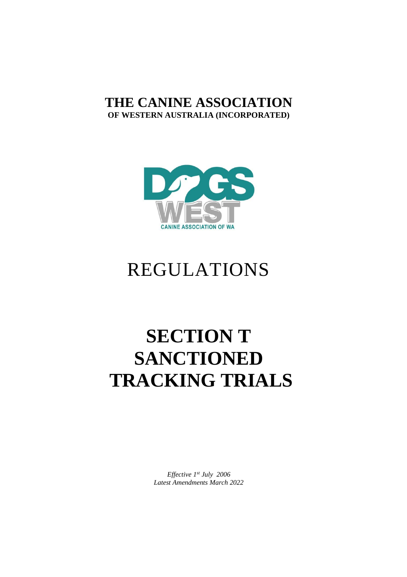### **THE CANINE ASSOCIATION OF WESTERN AUSTRALIA (INCORPORATED)**



## REGULATIONS

# **SECTION T SANCTIONED TRACKING TRIALS**

*Effective 1st July 2006 Latest Amendments March 2022*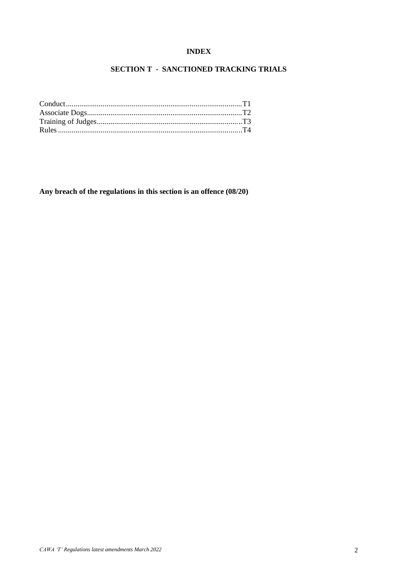#### **INDEX**

#### **SECTION T - SANCTIONED TRACKING TRIALS**

**Any breach of the regulations in this section is an offence (08/20)**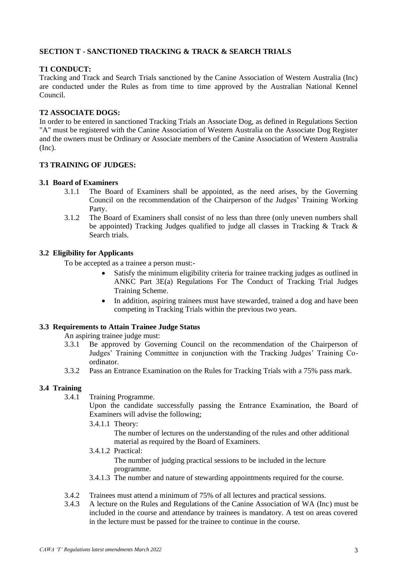#### **SECTION T - SANCTIONED TRACKING & TRACK & SEARCH TRIALS**

#### **T1 CONDUCT:**

Tracking and Track and Search Trials sanctioned by the Canine Association of Western Australia (Inc) are conducted under the Rules as from time to time approved by the Australian National Kennel Council.

#### **T2 ASSOCIATE DOGS:**

In order to be entered in sanctioned Tracking Trials an Associate Dog, as defined in Regulations Section "A" must be registered with the Canine Association of Western Australia on the Associate Dog Register and the owners must be Ordinary or Associate members of the Canine Association of Western Australia (Inc).

#### **T3 TRAINING OF JUDGES:**

### **3.1 Board of Examiners**

- 3.1.1 The Board of Examiners shall be appointed, as the need arises, by the Governing Council on the recommendation of the Chairperson of the Judges' Training Working Party.
- 3.1.2 The Board of Examiners shall consist of no less than three (only uneven numbers shall be appointed) Tracking Judges qualified to judge all classes in Tracking  $&$  Track  $&$ Search trials.

#### **3.2 Eligibility for Applicants**

To be accepted as a trainee a person must:-

- Satisfy the minimum eligibility criteria for trainee tracking judges as outlined in ANKC Part 3E(a) Regulations For The Conduct of Tracking Trial Judges Training Scheme.
- In addition, aspiring trainees must have stewarded, trained a dog and have been competing in Tracking Trials within the previous two years.

#### **3.3 Requirements to Attain Trainee Judge Status**

An aspiring trainee judge must:

- 3.3.1 Be approved by Governing Council on the recommendation of the Chairperson of Judges' Training Committee in conjunction with the Tracking Judges' Training Coordinator.
- 3.3.2 Pass an Entrance Examination on the Rules for Tracking Trials with a 75% pass mark.

#### **3.4 Training**

3.4.1 Training Programme.

Upon the candidate successfully passing the Entrance Examination, the Board of Examiners will advise the following;

3.4.1.1 Theory:

The number of lectures on the understanding of the rules and other additional material as required by the Board of Examiners.

3.4.1.2 Practical: The number of judging practical sessions to be included in the lecture

programme.

- 3.4.1.3 The number and nature of stewarding appointments required for the course.
- 3.4.2 Trainees must attend a minimum of 75% of all lectures and practical sessions.
- 3.4.3 A lecture on the Rules and Regulations of the Canine Association of WA (Inc) must be included in the course and attendance by trainees is mandatory. A test on areas covered in the lecture must be passed for the trainee to continue in the course.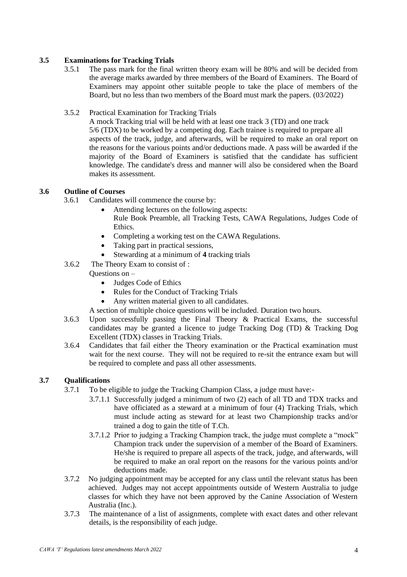#### **3.5 Examinations for Tracking Trials**

3.5.1 The pass mark for the final written theory exam will be 80% and will be decided from the average marks awarded by three members of the Board of Examiners. The Board of Examiners may appoint other suitable people to take the place of members of the Board, but no less than two members of the Board must mark the papers. (03/2022)

#### 3.5.2 Practical Examination for Tracking Trials

A mock Tracking trial will be held with at least one track 3 (TD) and one track 5/6 (TDX) to be worked by a competing dog. Each trainee is required to prepare all aspects of the track, judge, and afterwards, will be required to make an oral report on the reasons for the various points and/or deductions made. A pass will be awarded if the majority of the Board of Examiners is satisfied that the candidate has sufficient knowledge. The candidate's dress and manner will also be considered when the Board makes its assessment.

#### **3.6 Outline of Courses**

- 3.6.1 Candidates will commence the course by:
	- Attending lectures on the following aspects: Rule Book Preamble, all Tracking Tests, CAWA Regulations, Judges Code of Ethics.
	- Completing a working test on the CAWA Regulations.
	- Taking part in practical sessions,
	- Stewarding at a minimum of **4** tracking trials
- 3.6.2 The Theory Exam to consist of :
	- Questions on
		- Judges Code of Ethics
		- Rules for the Conduct of Tracking Trials
		- Any written material given to all candidates.
	- A section of multiple choice questions will be included. Duration two hours.
- 3.6.3 Upon successfully passing the Final Theory & Practical Exams, the successful candidates may be granted a licence to judge Tracking Dog (TD) & Tracking Dog Excellent (TDX) classes in Tracking Trials.
- 3.6.4 Candidates that fail either the Theory examination or the Practical examination must wait for the next course. They will not be required to re-sit the entrance exam but will be required to complete and pass all other assessments.

#### **3.7 Qualifications**

- 3.7.1 To be eligible to judge the Tracking Champion Class, a judge must have:-
	- 3.7.1.1 Successfully judged a minimum of two (2) each of all TD and TDX tracks and have officiated as a steward at a minimum of four (4) Tracking Trials, which must include acting as steward for at least two Championship tracks and/or trained a dog to gain the title of T.Ch.
	- 3.7.1.2 Prior to judging a Tracking Champion track, the judge must complete a "mock" Champion track under the supervision of a member of the Board of Examiners. He/she is required to prepare all aspects of the track, judge, and afterwards, will be required to make an oral report on the reasons for the various points and/or deductions made.
- 3.7.2 No judging appointment may be accepted for any class until the relevant status has been achieved. Judges may not accept appointments outside of Western Australia to judge classes for which they have not been approved by the Canine Association of Western Australia (Inc.).
- 3.7.3 The maintenance of a list of assignments, complete with exact dates and other relevant details, is the responsibility of each judge.